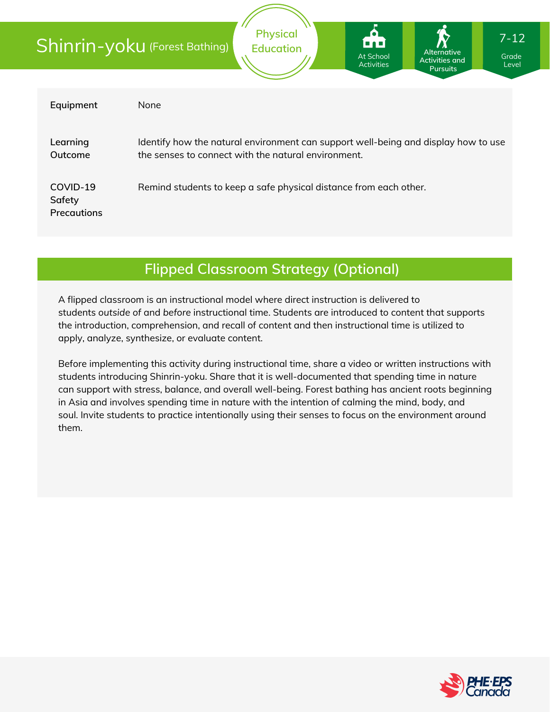|                                          | <b>Physical</b><br>$7 - 12$<br>1-a - 1<br>Shinrin-yoku (Forest Bathing)<br><b>Education</b><br>Alternative<br><b>At School</b><br>Grade<br><b>Activities and</b><br><b>Activities</b><br>Level<br><b>Pursuits</b> |  |  |  |  |
|------------------------------------------|-------------------------------------------------------------------------------------------------------------------------------------------------------------------------------------------------------------------|--|--|--|--|
| Equipment                                | None                                                                                                                                                                                                              |  |  |  |  |
| Learning<br>Outcome                      | Identify how the natural environment can support well-being and display how to use<br>the senses to connect with the natural environment.                                                                         |  |  |  |  |
| COVID-19<br>Safety<br><b>Precautions</b> | Remind students to keep a safe physical distance from each other.                                                                                                                                                 |  |  |  |  |

### **Flipped Classroom Strategy (Optional)**

A flipped classroom is an instructional model where direct instruction is delivered to students *outside of* and *before* instructional time. Students are introduced to content that supports the introduction, comprehension, and recall of content and then instructional time is utilized to apply, analyze, synthesize, or evaluate content.

Before implementing this activity during instructional time, share a video or written instructions with students introducing Shinrin-yoku. Share that it is well-documented that spending time in nature can support with stress, balance, and overall well-being. Forest bathing has ancient roots beginning in Asia and involves spending time in nature with the intention of calming the mind, body, and soul. Invite students to practice intentionally using their senses to focus on the environment around them.

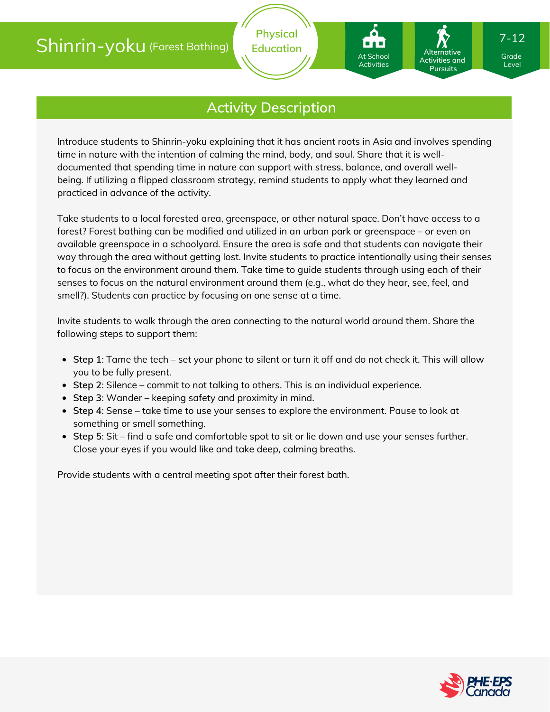## Shinrin-yoku (Forest Bathing)

### **Activity Description**

Introduce students to Shinrin-yoku explaining that it has ancient roots in Asia and involves spending time in nature with the intention of calming the mind, body, and soul. Share that it is welldocumented that spending time in nature can support with stress, balance, and overall wellbeing. If utilizing a flipped classroom strategy, remind students to apply what they learned and practiced in advance of the activity.

Take students to a local forested area, greenspace, or other natural space. Don't have access to a forest? Forest bathing can be modified and utilized in an urban park or greenspace – or even on available greenspace in a schoolyard. Ensure the area is safe and that students can navigate their way through the area without getting lost. Invite students to practice intentionally using their senses to focus on the environment around them. Take time to guide students through using each of their senses to focus on the natural environment around them (e.g., what do they hear, see, feel, and smell?). Students can practice by focusing on one sense at a time.

Invite students to walk through the area connecting to the natural world around them. Share the following steps to support them:

- **Step 1**: Tame the tech set your phone to silent or turn it off and do not check it. This will allow you to be fully present.
- **Step 2**: Silence commit to not talking to others. This is an individual experience.
- **Step 3**: Wander keeping safety and proximity in mind.
- **Step 4**: Sense take time to use your senses to explore the environment. Pause to look at something or smell something.
- **Step 5**: Sit find a safe and comfortable spot to sit or lie down and use your senses further. Close your eyes if you would like and take deep, calming breaths.

Provide students with a central meeting spot after their forest bath.



Grade Grade Level Level

7-12

Activities and **Pursuits** 

**Alternative**

At School At School Activities Activities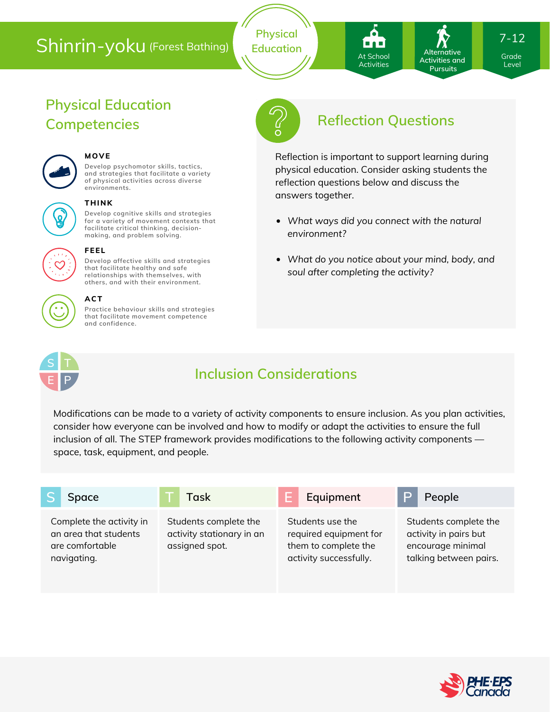# Shinrin-yoku (Forest Bathing)

**Physical Education**

Activities and At School At School Activities Activities

**Pursuits** 

**Alternative**

7-12

Grade Grade Level Level

# **Physical Education**



#### **MOVE**

**THINK**

**Develop psychomotor skills, tactics, and strategies that facilitate a variety of physical activities across diverse environments.**

**Develop cognitive skills and strategies for a variety of movement contexts that facilitate critical thinking, decision making, and problem solving.**

# o.



#### **FEEL**

**Develop affective skills and strategies that facilitate healthy and safe relationships with themselves, with others, and with their environment.**

#### **ACT**

**Practice behaviour skills and strategies that facilitate movement competence and confidence.**



## **Competencies Reflection Questions**

Reflection is important to support learning during physical education. Consider asking students the reflection questions below and discuss the answers together.

- *What ways did you connect with the natural environment?*
- *What do you notice about your mind, body, and soul after completing the activity?*



## **Inclusion Considerations**

Modifications can be made to a variety of activity components to ensure inclusion. As you plan activities, consider how everyone can be involved and how to modify or adapt the activities to ensure the full inclusion of all. The STEP framework provides modifications to the following activity components space, task, equipment, and people.

| Space                                                                               | Task                                                                 | F<br>Equipment                                                                               | People                                                                                        |
|-------------------------------------------------------------------------------------|----------------------------------------------------------------------|----------------------------------------------------------------------------------------------|-----------------------------------------------------------------------------------------------|
| Complete the activity in<br>an area that students<br>are comfortable<br>navigating. | Students complete the<br>activity stationary in an<br>assigned spot. | Students use the<br>required equipment for<br>them to complete the<br>activity successfully. | Students complete the<br>activity in pairs but<br>encourage minimal<br>talking between pairs. |